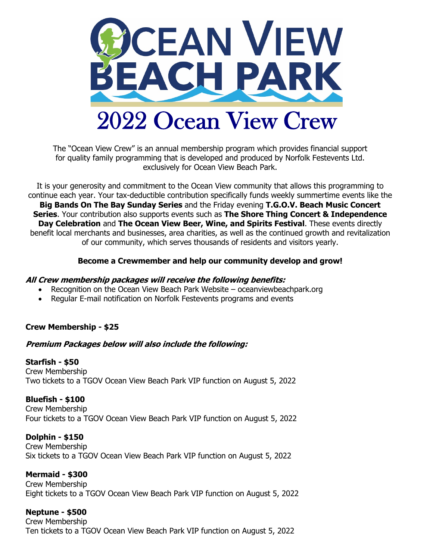

The "Ocean View Crew" is an annual membership program which provides financial support for quality family programming that is developed and produced by Norfolk Festevents Ltd. exclusively for Ocean View Beach Park.

It is your generosity and commitment to the Ocean View community that allows this programming to continue each year. Your tax-deductible contribution specifically funds weekly summertime events like the **Big Bands On The Bay Sunday Series** and the Friday evening **T.G.O.V. Beach Music Concert Series**. Your contribution also supports events such as **The Shore Thing Concert & Independence Day Celebration** and **The Ocean View Beer, Wine, and Spirits Festival**. These events directly benefit local merchants and businesses, area charities, as well as the continued growth and revitalization of our community, which serves thousands of residents and visitors yearly.

#### **Become a Crewmember and help our community develop and grow!**

#### **All Crew membership packages will receive the following benefits:**

- Recognition on the Ocean View Beach Park Website oceanviewbeachpark.org
- Regular E-mail notification on Norfolk Festevents programs and events

# **Crew Membership - \$25**

# **Premium Packages below will also include the following:**

#### **Starfish - \$50**

Crew Membership Two tickets to a TGOV Ocean View Beach Park VIP function on August 5, 2022

# **Bluefish - \$100**

Crew Membership Four tickets to a TGOV Ocean View Beach Park VIP function on August 5, 2022

#### **Dolphin - \$150** Crew Membership Six tickets to a TGOV Ocean View Beach Park VIP function on August 5, 2022

**Mermaid - \$300** Crew Membership Eight tickets to a TGOV Ocean View Beach Park VIP function on August 5, 2022

# **Neptune - \$500**

Crew Membership Ten tickets to a TGOV Ocean View Beach Park VIP function on August 5, 2022